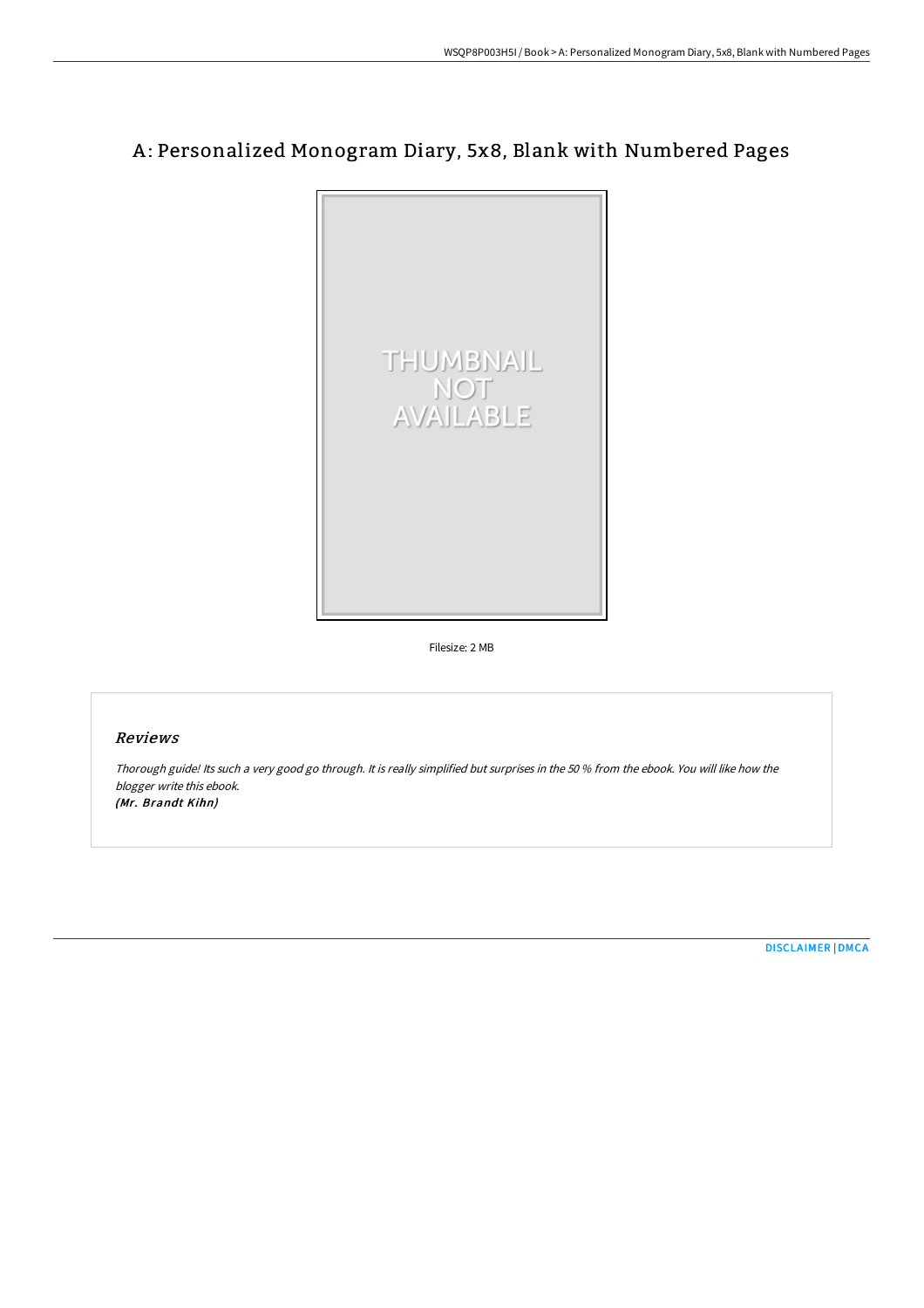# A: Personalized Monogram Diary, 5x8, Blank with Numbered Pages



Filesize: 2 MB

# Reviews

Thorough guide! Its such <sup>a</sup> very good go through. It is really simplified but surprises in the <sup>50</sup> % from the ebook. You will like how the blogger write this ebook. (Mr. Brandt Kihn)

[DISCLAIMER](http://techno-pub.tech/disclaimer.html) | [DMCA](http://techno-pub.tech/dmca.html)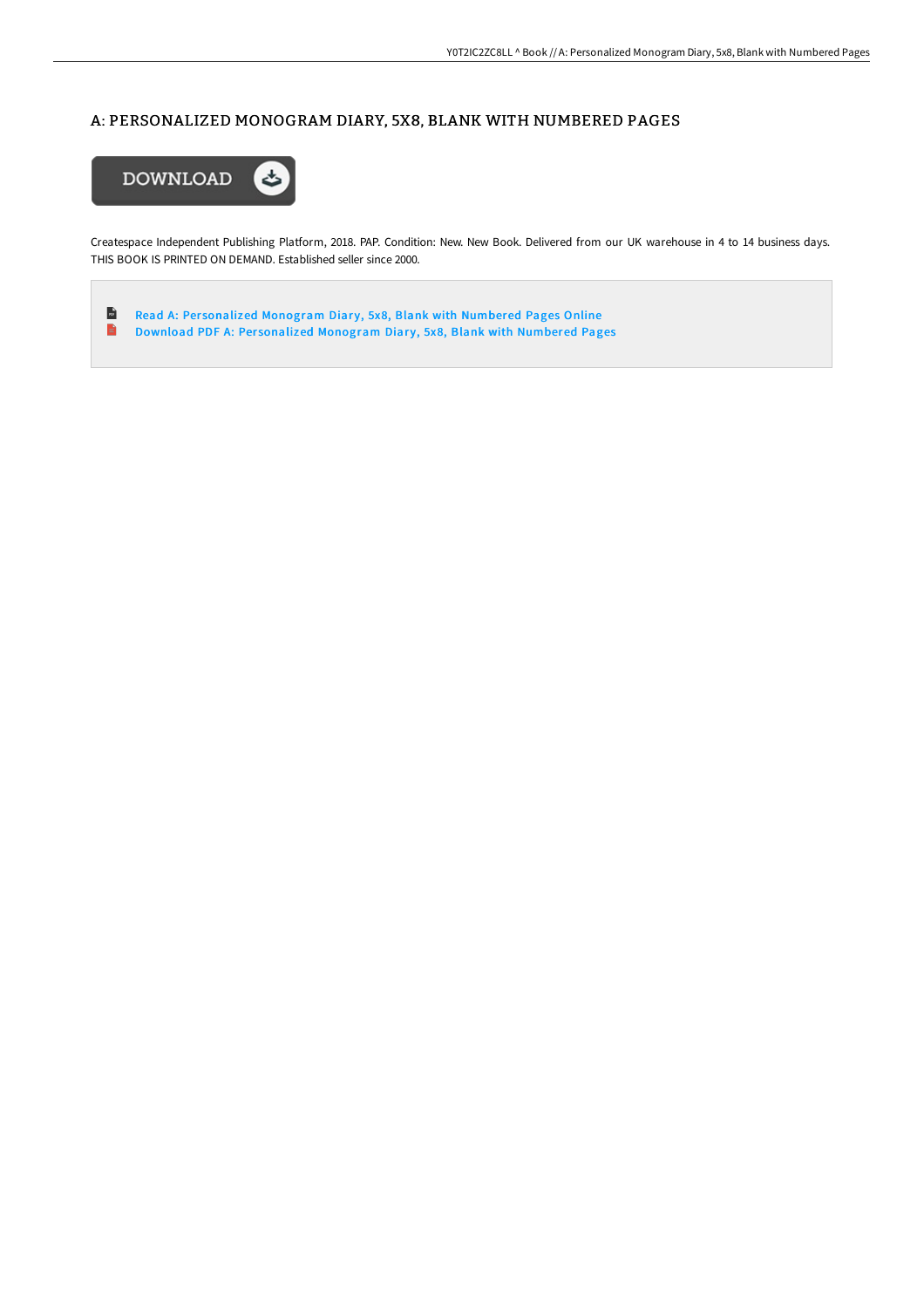# A: PERSONALIZED MONOGRAM DIARY, 5X8, BLANK WITH NUMBERED PAGES



Createspace Independent Publishing Platform, 2018. PAP. Condition: New. New Book. Delivered from our UK warehouse in 4 to 14 business days. THIS BOOK IS PRINTED ON DEMAND. Established seller since 2000.

 $\mathbf{r}$ Read A: Personalized [Monogram](http://techno-pub.tech/a-personalized-monogram-diary-5x8-blank-with-num.html) Diary, 5x8, Blank with Numbered Pages Online  $\blacksquare$ Download PDF A: Personalized [Monogram](http://techno-pub.tech/a-personalized-monogram-diary-5x8-blank-with-num.html) Diary, 5x8, Blank with Numbered Pages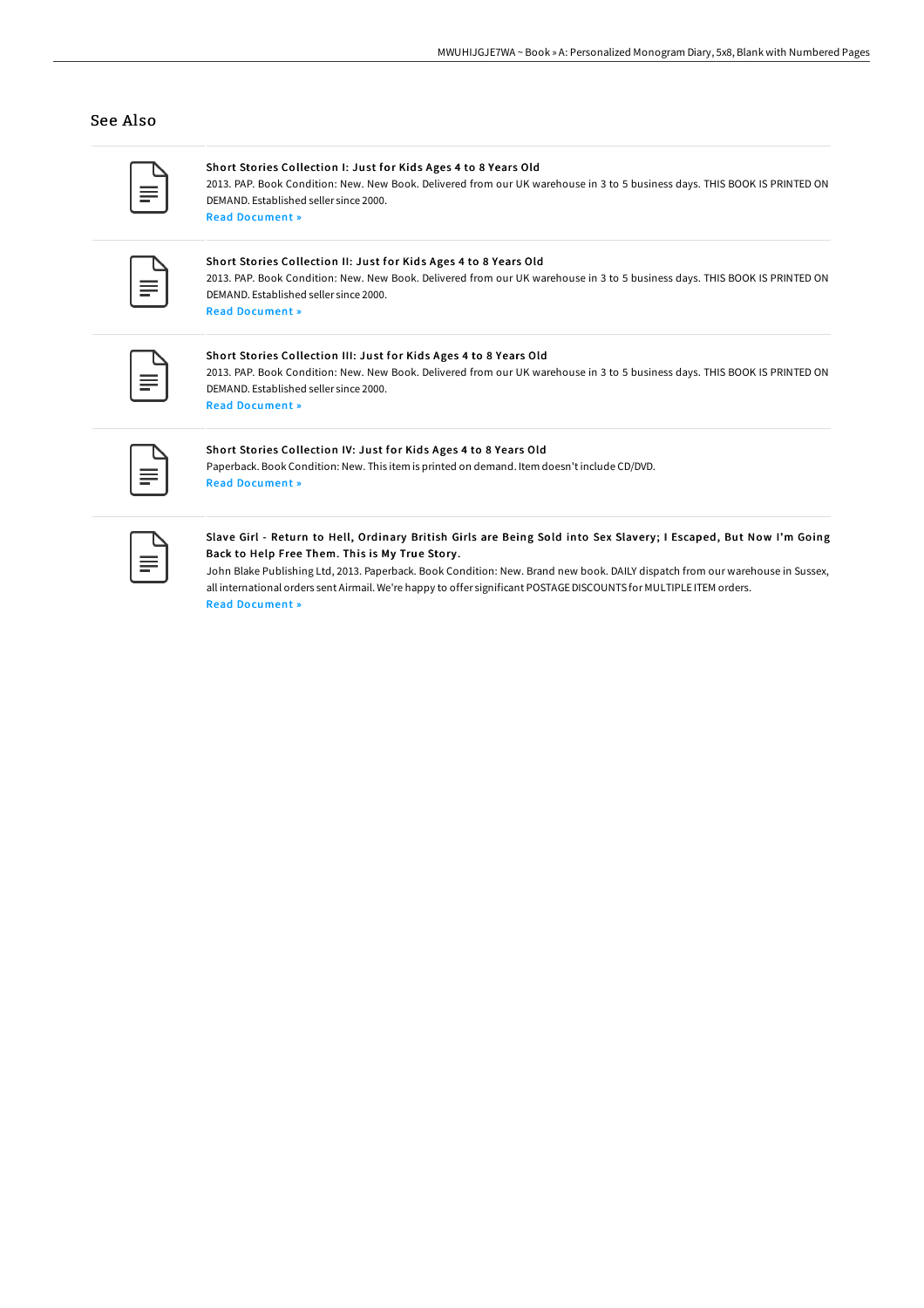## See Also

## Short Stories Collection I: Just for Kids Ages 4 to 8 Years Old

2013. PAP. Book Condition: New. New Book. Delivered from our UK warehouse in 3 to 5 business days. THIS BOOK IS PRINTED ON DEMAND. Established seller since 2000. Read [Document](http://techno-pub.tech/short-stories-collection-i-just-for-kids-ages-4-.html) »

#### Short Stories Collection II: Just for Kids Ages 4 to 8 Years Old

2013. PAP. Book Condition: New. New Book. Delivered from our UK warehouse in 3 to 5 business days. THIS BOOK IS PRINTED ON DEMAND. Established seller since 2000. Read [Document](http://techno-pub.tech/short-stories-collection-ii-just-for-kids-ages-4.html) »

#### Short Stories Collection III: Just for Kids Ages 4 to 8 Years Old

2013. PAP. Book Condition: New. New Book. Delivered from our UK warehouse in 3 to 5 business days. THIS BOOK IS PRINTED ON DEMAND. Established seller since 2000. Read [Document](http://techno-pub.tech/short-stories-collection-iii-just-for-kids-ages-.html) »

#### Short Stories Collection IV: Just for Kids Ages 4 to 8 Years Old

Paperback. Book Condition: New. This item is printed on demand. Item doesn't include CD/DVD. Read [Document](http://techno-pub.tech/short-stories-collection-iv-just-for-kids-ages-4.html) »

#### Slave Girl - Return to Hell, Ordinary British Girls are Being Sold into Sex Slavery; I Escaped, But Now I'm Going Back to Help Free Them. This is My True Story .

John Blake Publishing Ltd, 2013. Paperback. Book Condition: New. Brand new book. DAILY dispatch from our warehouse in Sussex, all international orders sent Airmail. We're happy to offer significant POSTAGEDISCOUNTS for MULTIPLE ITEM orders. Read [Document](http://techno-pub.tech/slave-girl-return-to-hell-ordinary-british-girls.html) »